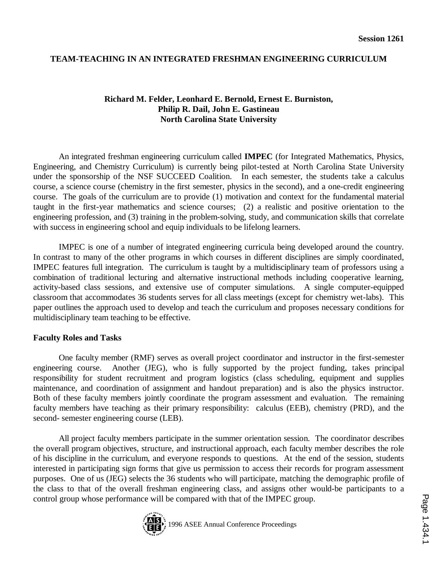# **TEAM-TEACHING IN AN INTEGRATED FRESHMAN ENGINEERING CURRICULUM**

# **Richard M. Felder, Leonhard E. Bernold, Ernest E. Burniston, Philip R. Dail, John E. Gastineau North Carolina State University**

An integrated freshman engineering curriculum called **IMPEC** (for Integrated Mathematics, Physics, Engineering, and Chemistry Curriculum) is currently being pilot-tested at North Carolina State University under the sponsorship of the NSF SUCCEED Coalition. In each semester, the students take a calculus course, a science course (chemistry in the first semester, physics in the second), and a one-credit engineering course. The goals of the curriculum are to provide (1) motivation and context for the fundamental material taught in the first-year mathematics and science courses; (2) a realistic and positive orientation to the engineering profession, and (3) training in the problem-solving, study, and communication skills that correlate with success in engineering school and equip individuals to be lifelong learners.

IMPEC is one of a number of integrated engineering curricula being developed around the country. In contrast to many of the other programs in which courses in different disciplines are simply coordinated, IMPEC features full integration. The curriculum is taught by a multidisciplinary team of professors using a combination of traditional lecturing and alternative instructional methods including cooperative learning, activity-based class sessions, and extensive use of computer simulations. A single computer-equipped classroom that accommodates 36 students serves for all class meetings (except for chemistry wet-labs). This paper outlines the approach used to develop and teach the curriculum and proposes necessary conditions for multidisciplinary team teaching to be effective.

#### **Faculty Roles and Tasks**

One faculty member (RMF) serves as overall project coordinator and instructor in the first-semester engineering course. Another (JEG), who is fully supported by the project funding, takes principal responsibility for student recruitment and program logistics (class scheduling, equipment and supplies maintenance, and coordination of assignment and handout preparation) and is also the physics instructor. Both of these faculty members jointly coordinate the program assessment and evaluation. The remaining faculty members have teaching as their primary responsibility: calculus (EEB), chemistry (PRD), and the second- semester engineering course (LEB).

All project faculty members participate in the summer orientation session. The coordinator describes the overall program objectives, structure, and instructional approach, each faculty member describes the role of his discipline in the curriculum, and everyone responds to questions. At the end of the session, students interested in participating sign forms that give us permission to access their records for program assessment purposes. One of us (JEG) selects the 36 students who will participate, matching the demographic profile of the class to that of the overall freshman engineering class, and assigns other would-be participants to a control group whose performance will be compared with that of the IMPEC group.

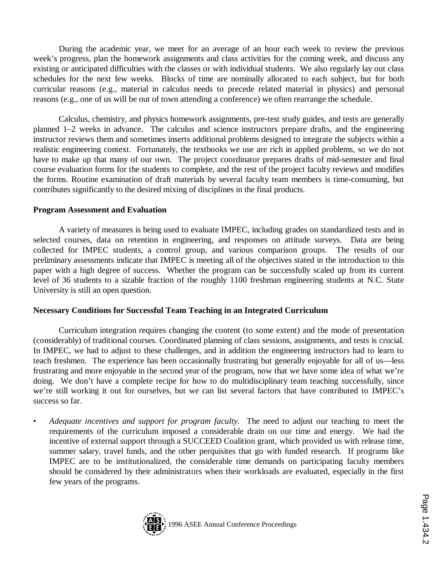During the academic year, we meet for an average of an hour each week to review the previous week's progress, plan the homework assignments and class activities for the coming week, and discuss any existing or anticipated difficulties with the classes or with individual students. We also regularly lay out class schedules for the next few weeks. Blocks of time are nominally allocated to each subject, but for both curricular reasons (e.g., material in calculus needs to precede related material in physics) and personal reasons (e.g., one of us will be out of town attending a conference) we often rearrange the schedule.

Calculus, chemistry, and physics homework assignments, pre-test study guides, and tests are generally planned 1–2 weeks in advance. The calculus and science instructors prepare drafts, and the engineering instructor reviews them and sometimes inserts additional problems designed to integrate the subjects within a realistic engineering context. Fortunately, the textbooks we use are rich in applied problems, so we do not have to make up that many of our own. The project coordinator prepares drafts of mid-semester and final course evaluation forms for the students to complete, and the rest of the project faculty reviews and modifies the forms. Routine examination of draft materials by several faculty team members is time-consuming, but contributes significantly to the desired mixing of disciplines in the final products.

# **Program Assessment and Evaluation**

A variety of measures is being used to evaluate IMPEC, including grades on standardized tests and in selected courses, data on retention in engineering, and responses on attitude surveys. Data are being collected for IMPEC students, a control group, and various comparison groups. The results of our preliminary assessments indicate that IMPEC is meeting all of the objectives stated in the introduction to this paper with a high degree of success. Whether the program can be successfully scaled up from its current level of 36 students to a sizable fraction of the roughly 1100 freshman engineering students at N.C. State University is still an open question.

# **Necessary Conditions for Successful Team Teaching in an Integrated Curriculum**

Curriculum integration requires changing the content (to some extent) and the mode of presentation (considerably) of traditional courses. Coordinated planning of class sessions, assignments, and tests is crucial. In IMPEC, we had to adjust to these challenges, and in addition the engineering instructors had to learn to teach freshmen. The experience has been occasionally frustrating but generally enjoyable for all of us—less frustrating and more enjoyable in the second year of the program, now that we have some idea of what we're doing. We don't have a complete recipe for how to do multidisciplinary team teaching successfully, since we're still working it out for ourselves, but we can list several factors that have contributed to IMPEC's success so far.

• *Adequate incentives and support for program faculty.* The need to adjust our teaching to meet the requirements of the curriculum imposed a considerable drain on our time and energy. We had the incentive of external support through a SUCCEED Coalition grant, which provided us with release time, summer salary, travel funds, and the other perquisites that go with funded research. If programs like IMPEC are to be institutionalized, the considerable time demands on participating faculty members should be considered by their administrators when their workloads are evaluated, especially in the first few years of the programs.

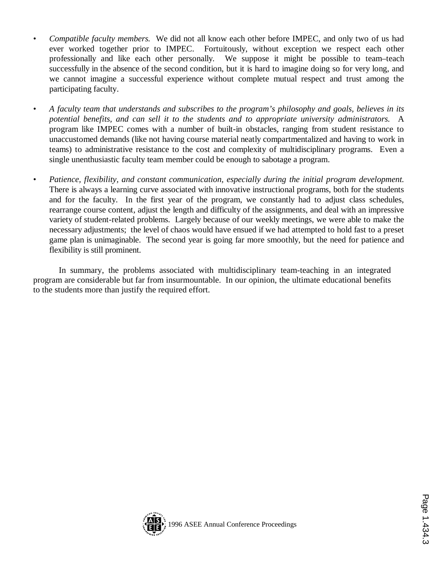- *Compatible faculty members.* We did not all know each other before IMPEC, and only two of us had ever worked together prior to IMPEC. Fortuitously, without exception we respect each other professionally and like each other personally. We suppose it might be possible to team–teach successfully in the absence of the second condition, but it is hard to imagine doing so for very long, and we cannot imagine a successful experience without complete mutual respect and trust among the participating faculty.
- *A faculty team that understands and subscribes to the program's philosophy and goals, believes in its potential benefits, and can sell it to the students and to appropriate university administrators.* A program like IMPEC comes with a number of built-in obstacles, ranging from student resistance to unaccustomed demands (like not having course material neatly compartmentalized and having to work in teams) to administrative resistance to the cost and complexity of multidisciplinary programs. Even a single unenthusiastic faculty team member could be enough to sabotage a program.
- *Patience, flexibility, and constant communication, especially during the initial program development.* There is always a learning curve associated with innovative instructional programs, both for the students and for the faculty. In the first year of the program, we constantly had to adjust class schedules, rearrange course content, adjust the length and difficulty of the assignments, and deal with an impressive variety of student-related problems. Largely because of our weekly meetings, we were able to make the necessary adjustments; the level of chaos would have ensued if we had attempted to hold fast to a preset game plan is unimaginable. The second year is going far more smoothly, but the need for patience and flexibility is still prominent.

In summary, the problems associated with multidisciplinary team-teaching in an integrated program are considerable but far from insurmountable. In our opinion, the ultimate educational benefits to the students more than justify the required effort.